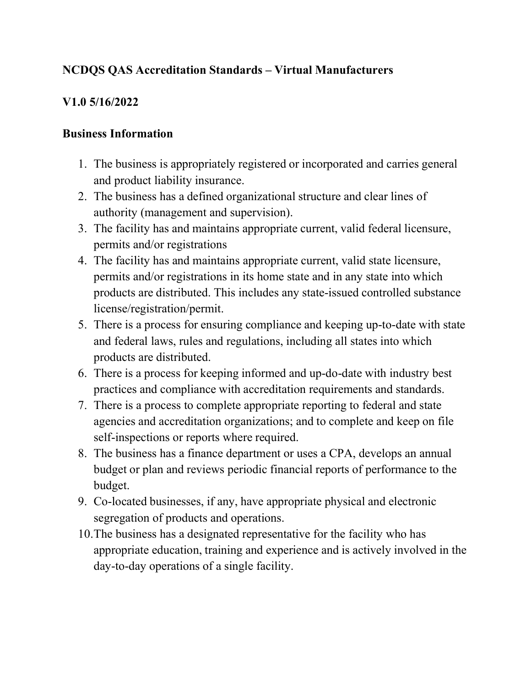# NCDQS QAS Accreditation Standards – Virtual Manufacturers

## V1.0 5/16/2022

#### Business Information

- 1. The business is appropriately registered or incorporated and carries general and product liability insurance.
- 2. The business has a defined organizational structure and clear lines of authority (management and supervision).
- 3. The facility has and maintains appropriate current, valid federal licensure, permits and/or registrations
- 4. The facility has and maintains appropriate current, valid state licensure, permits and/or registrations in its home state and in any state into which products are distributed. This includes any state-issued controlled substance license/registration/permit.
- 5. There is a process for ensuring compliance and keeping up-to-date with state and federal laws, rules and regulations, including all states into which products are distributed.
- 6. There is a process for keeping informed and up-do-date with industry best practices and compliance with accreditation requirements and standards.
- 7. There is a process to complete appropriate reporting to federal and state agencies and accreditation organizations; and to complete and keep on file self-inspections or reports where required.
- 8. The business has a finance department or uses a CPA, develops an annual budget or plan and reviews periodic financial reports of performance to the budget.
- 9. Co-located businesses, if any, have appropriate physical and electronic segregation of products and operations.
- 10.The business has a designated representative for the facility who has appropriate education, training and experience and is actively involved in the day-to-day operations of a single facility.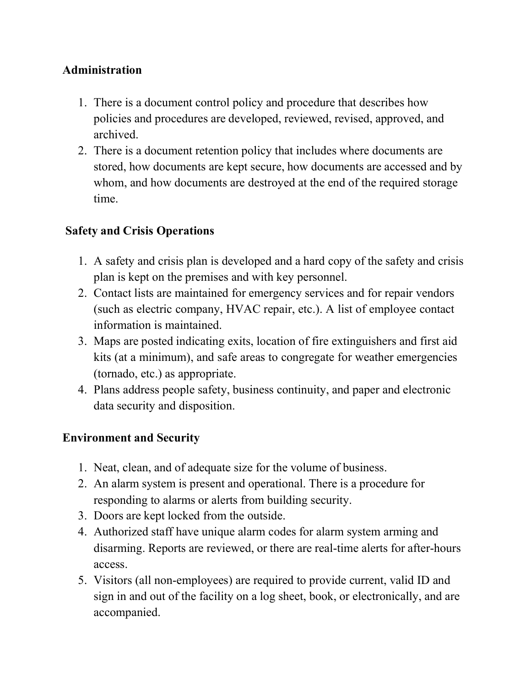### Administration

- 1. There is a document control policy and procedure that describes how policies and procedures are developed, reviewed, revised, approved, and archived.
- 2. There is a document retention policy that includes where documents are stored, how documents are kept secure, how documents are accessed and by whom, and how documents are destroyed at the end of the required storage time.

## Safety and Crisis Operations

- 1. A safety and crisis plan is developed and a hard copy of the safety and crisis plan is kept on the premises and with key personnel.
- 2. Contact lists are maintained for emergency services and for repair vendors (such as electric company, HVAC repair, etc.). A list of employee contact information is maintained.
- 3. Maps are posted indicating exits, location of fire extinguishers and first aid kits (at a minimum), and safe areas to congregate for weather emergencies (tornado, etc.) as appropriate.
- 4. Plans address people safety, business continuity, and paper and electronic data security and disposition.

### Environment and Security

- 1. Neat, clean, and of adequate size for the volume of business.
- 2. An alarm system is present and operational. There is a procedure for responding to alarms or alerts from building security.
- 3. Doors are kept locked from the outside.
- 4. Authorized staff have unique alarm codes for alarm system arming and disarming. Reports are reviewed, or there are real-time alerts for after-hours access.
- 5. Visitors (all non-employees) are required to provide current, valid ID and sign in and out of the facility on a log sheet, book, or electronically, and are accompanied.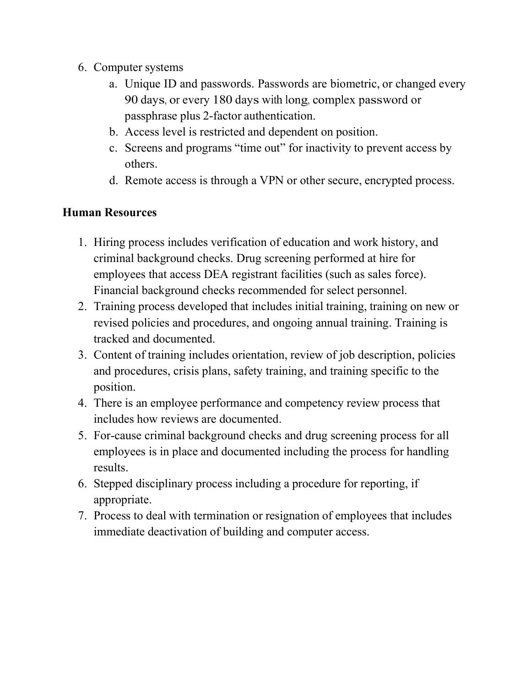- 6. Computer systems
	- a. Unique ID and passwords. Passwords are biometric, or changed every 90 days, or every 180 days with long, complex password or passphrase plus 2-factor authentication.
	- b. Access level is restricted and dependent on position.
	- c. Screens and programs "time out" for inactivity to prevent access by others.
	- d. Remote access is through a VPN or other secure, encrypted process.

### Human Resources

- 1. Hiring process includes verification of education and work history, and criminal background checks. Drug screening performed at hire for employees that access DEA registrant facilities (such as sales force). Financial background checks recommended for select personnel.
- 2. Training process developed that includes initial training, training on new or revised policies and procedures, and ongoing annual training. Training is tracked and documented.
- 3. Content of training includes orientation, review of job description, policies and procedures, crisis plans, safety training, and training specific to the position.
- 4. There is an employee performance and competency review process that includes how reviews are documented.
- 5. For-cause criminal background checks and drug screening process for all employees is in place and documented including the process for handling results.
- 6. Stepped disciplinary process including a procedure for reporting, if appropriate.
- 7. Process to deal with termination or resignation of employees that includes immediate deactivation of building and computer access.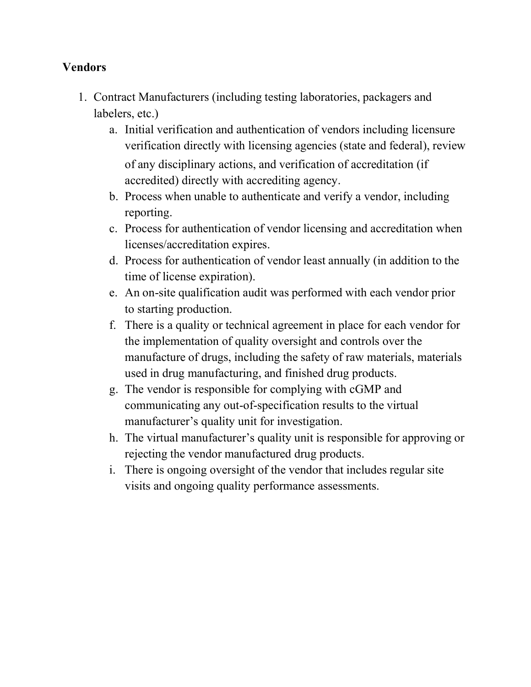#### Vendors

- 1. Contract Manufacturers (including testing laboratories, packagers and labelers, etc.)
	- a. Initial verification and authentication of vendors including licensure verification directly with licensing agencies (state and federal), review of any disciplinary actions, and verification of accreditation (if accredited) directly with accrediting agency.
	- b. Process when unable to authenticate and verify a vendor, including reporting.
	- c. Process for authentication of vendor licensing and accreditation when licenses/accreditation expires.
	- d. Process for authentication of vendor least annually (in addition to the time of license expiration).
	- e. An on-site qualification audit was performed with each vendor prior to starting production.
	- f. There is a quality or technical agreement in place for each vendor for the implementation of quality oversight and controls over the manufacture of drugs, including the safety of raw materials, materials used in drug manufacturing, and finished drug products.
	- g. The vendor is responsible for complying with cGMP and communicating any out-of-specification results to the virtual manufacturer's quality unit for investigation.
	- h. The virtual manufacturer's quality unit is responsible for approving or rejecting the vendor manufactured drug products.
	- i. There is ongoing oversight of the vendor that includes regular site visits and ongoing quality performance assessments.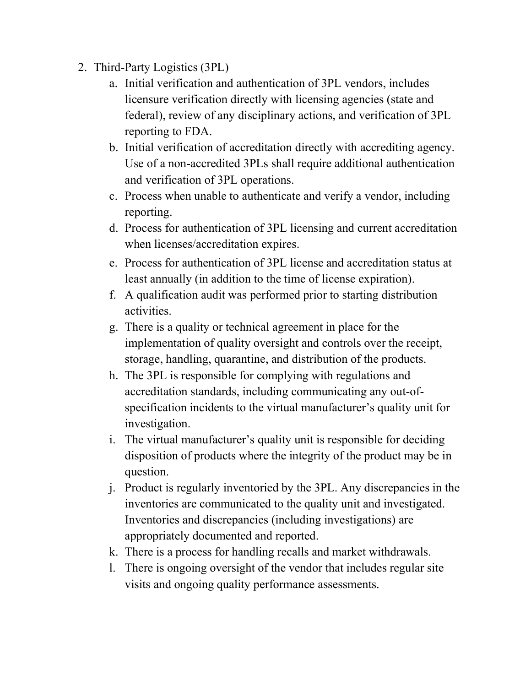- 2. Third-Party Logistics (3PL)
	- a. Initial verification and authentication of 3PL vendors, includes licensure verification directly with licensing agencies (state and federal), review of any disciplinary actions, and verification of 3PL reporting to FDA.
	- b. Initial verification of accreditation directly with accrediting agency. Use of a non-accredited 3PLs shall require additional authentication and verification of 3PL operations.
	- c. Process when unable to authenticate and verify a vendor, including reporting.
	- d. Process for authentication of 3PL licensing and current accreditation when licenses/accreditation expires.
	- e. Process for authentication of 3PL license and accreditation status at least annually (in addition to the time of license expiration).
	- f. A qualification audit was performed prior to starting distribution activities.
	- g. There is a quality or technical agreement in place for the implementation of quality oversight and controls over the receipt, storage, handling, quarantine, and distribution of the products.
	- h. The 3PL is responsible for complying with regulations and accreditation standards, including communicating any out-ofspecification incidents to the virtual manufacturer's quality unit for investigation.
	- i. The virtual manufacturer's quality unit is responsible for deciding disposition of products where the integrity of the product may be in question.
	- j. Product is regularly inventoried by the 3PL. Any discrepancies in the inventories are communicated to the quality unit and investigated. Inventories and discrepancies (including investigations) are appropriately documented and reported.
	- k. There is a process for handling recalls and market withdrawals.
	- l. There is ongoing oversight of the vendor that includes regular site visits and ongoing quality performance assessments.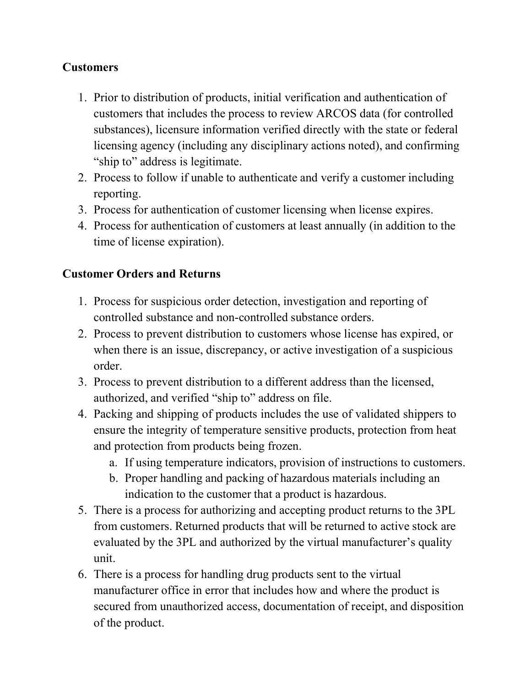## **Customers**

- 1. Prior to distribution of products, initial verification and authentication of customers that includes the process to review ARCOS data (for controlled substances), licensure information verified directly with the state or federal licensing agency (including any disciplinary actions noted), and confirming "ship to" address is legitimate.
- 2. Process to follow if unable to authenticate and verify a customer including reporting.
- 3. Process for authentication of customer licensing when license expires.
- 4. Process for authentication of customers at least annually (in addition to the time of license expiration).

# Customer Orders and Returns

- 1. Process for suspicious order detection, investigation and reporting of controlled substance and non-controlled substance orders.
- 2. Process to prevent distribution to customers whose license has expired, or when there is an issue, discrepancy, or active investigation of a suspicious order.
- 3. Process to prevent distribution to a different address than the licensed, authorized, and verified "ship to" address on file.
- 4. Packing and shipping of products includes the use of validated shippers to ensure the integrity of temperature sensitive products, protection from heat and protection from products being frozen.
	- a. If using temperature indicators, provision of instructions to customers.
	- b. Proper handling and packing of hazardous materials including an indication to the customer that a product is hazardous.
- 5. There is a process for authorizing and accepting product returns to the 3PL from customers. Returned products that will be returned to active stock are evaluated by the 3PL and authorized by the virtual manufacturer's quality unit.
- 6. There is a process for handling drug products sent to the virtual manufacturer office in error that includes how and where the product is secured from unauthorized access, documentation of receipt, and disposition of the product.